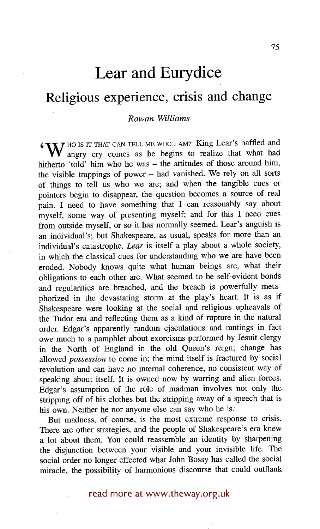# **Lear and Eurydice**

# **Religious experience, crisis and change**

### *Rowan Williams*

**LET THAT CAN TELL ME WHO I AM?' King Lear's baffled and** angry cry comes as he begins to realize that what had hitherto 'told' him who he was - the attitudes of those around him, the visible trappings of power - had vanished. We rely on all sorts of things to tell us who we are; and when the tangible cues or pointers begin to disappear, the question becomes a source of real pain. I need to have something that I can reasonably say about myself, some way of presenting myself; and for this I need cues from outside myself, or so it has normally seemed. Lear's anguish is an individual's; but Shakespeare, as usual, speaks for more than an individual's catastrophe. *Lear* is itself a play about a whole society, in which the classical cues for understanding who we are have been eroded. Nobody knows quite what human beings are, what their obligations to each other are. What seemed to be self-evident bonds and regularities are breached, and the breach is powerfully metaphorized in the devastating storm at the play's heart. It is as if Shakespeare were looking at the social and religious upheavals of the Tudor era and reflecting them as a kind of rupture in the natural order. Edgar's apparently random ejaculations and rantings in fact owe much to a pamphlet about exorcisms performed by Jesuit clergy in the North of England in the old Queen's reign; change has allowed *possession* to come in; the mind itself is fractured by social revolution and can have no internal coherence, no consistent way of speaking about itself. It is owned now by warring and alien forces. Edgar's assumption of the role of madman involves not only the stripping off of his clothes but the stripping away of a speech that is his own. Neither he nor anyone else can say who he is.

But madness, of course, is the most extreme response to crisis. There are other strategies, and the people of Shakespeare's era knew a lot about them. You could reassemble .an identity by sharpening the disjunction between your visible and your invisible life. The social order no longer effected what John Bossy has called the social miracle, the possibility of harmonious discourse that could outflank

read more at www.theway.org.uk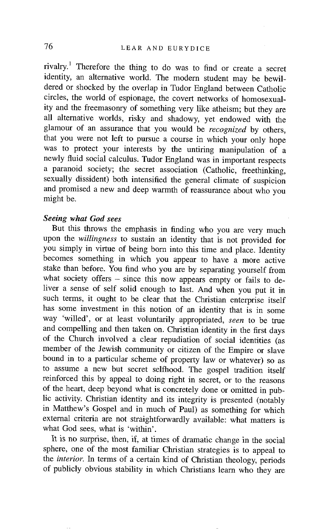rivalry.<sup>1</sup> Therefore the thing to do was to find or create a secret identity, an alternative world. The modern student may be bewildered or shocked by the overlap in Tudor England between Catholic circles, the world of espionage, the covert networks of homosexuality and the freemasonry of something very like atheism; but they are all alternative worlds, risky and shadowy, yet endowed with the glamour of an assurance that you would be *recognized* by others, that you were not left to pursue a course in which your only hope was to protect your interests by the untiring manipulation of a newly fluid social calculus. Tudor England was in important respects a paranoid society; the secret association (Catholic, freethinking, sexually dissident) both intensified the general climate of suspicion and promised a new and deep warmth of reassurance about who you might be.

# *Seeing what God sees*

But this throws the emphasis in finding who you are very much upon the *willingness* to sustain an identity that is not provided for you simply in virtue of being born into this time and place. Identity becomes something in which you appear to have a more active stake than before. You find who you are by separating yourself from what society offers – since this now appears empty or fails to deliver a sense of self solid enough to last. And when you put it in such terms, it ought to be clear that the Christian enterprise itself has some investment in this notion of an identity that is in some way 'willed', or at least voluntarily appropriated, *seen* to be true and compelling and then taken on. Christian identity in the first days of the Church involved a clear repudiation of social identities (as member of the Jewish community or citizen of the Empire or slave bound in to a particular scheme of property law or whatever) so as to assume a new but secret selfhood. The gospel tradition itself reinforced this by appeal to doing fight in secret, or to the reasons of the heart, deep beyond what is concretely done or omitted in public activity. Christian identity and its integrity is presented (notably in Matthew's Gospel and in much of Paul) as something for which external criteria are not straightforwardly available: what matters is what God sees, what is 'within'.

It is no surprise, then, if, at times of dramatic change in the social sphere, one of the most familiar Christian strategies is to appeal to the *interior.* In terms of a certain kind of Christian theology, periods of publicly obvious stability in which Christians learn who they are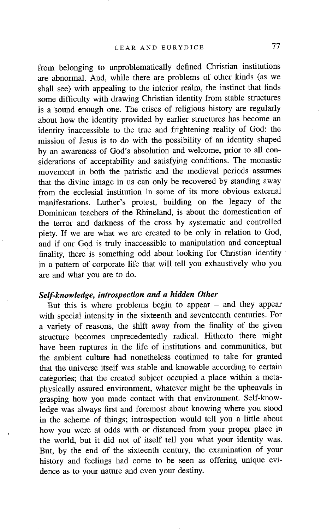from belonging to unproblematically defined Christian institutions are abnormal. And, while there are problems of other kinds (as we shall see) with appealing to the interior realm, the instinct that finds some difficulty with drawing Christian identity from stable structures is a sound enough one. The crises of religious history are regularly about how the identity provided by earlier structures has become an identity inaccessible to the true and frightening reality of God: the mission of Jesus is to do with the possibility of an identity shaped by an awareness of God's absolution and welcome, prior to all considerations of acceptability and satisfying conditions. The monastic movement in both the patristic and the medieval periods assumes that the divine image in us can only be recovered by standing away from the ecclesial institution in some of its more obvious external manifestations. Luther's protest, building on the legacy of the Dominican teachers of the Rhineland, is about the domestication of the terror and darkness of the cross by systematic and controlled piety. If we are what we are created to be only in relation to God, and if our God is truly inaccessible to manipulation and conceptual finality, there is something odd about looking for Christian identity in a pattern of corporate life that wilt tell you exhaustively who you are and what you are to do.

#### *Self-knowledge, introspection and a hidden Other*

But this is where problems begin to appear – and they appear with special intensity in the sixteenth and seventeenth centuries. For a variety of reasons, the shift away from the finality of the given structure becomes unprecedentedly radical. Hitherto there might have been ruptures in the life of institutions and communities, but the ambient culture had nonetheless continued to take for granted that the universe itself was stable and knowable according to certain categories; that the created subject occupied a place within a metaphysically assured environment, whatever might be the upheavals in grasping how you made contact with that environment. Self-knowledge was always first and foremost about knowing where you stood in the scheme of things; introspection would tell you a little about how you were at odds with or distanced from your proper place in the world, but it did not of itself tell you what your identity was. But, by the end of the sixteenth century, the examination of your history and feelings had come to be seen as offering unique evidence as to your nature and even your destiny.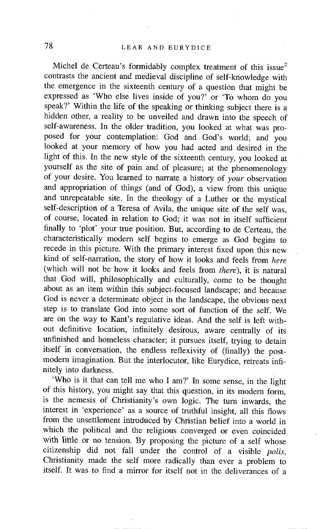Michel de Certeau's formidably complex treatment of this issue<sup>2</sup> contrasts the ancient and medieval discipline of self-knowledge with the emergence in the sixteenth century of a question that might be expressed as 'Who else lives inside of you?' or 'To whom do you speak?' Within the life of the speaking or thinking subject there is a hidden other, a reality to be unveiled and drawn into the speech of self-awareness. In the older tradition, you looked at what was proposed for your contemplation: God and God's world; and you looked at your memory of how you had acted and desired in the light of this. In the new style of the sixteenth century, you looked at yourself as the site of pain and of pleasure; at the phenomenology of your desire. You learned to narrate a history of *your* observation and appropriation of things (and of God), a view from this unique and unrepeatable site. In the theology of a Luther or the mystical self-description of a Teresa of Avila, the unique site of the self was, of course, located in relation to God; it was not in itself sufficient finally to 'plot' your true position. But, according to de Certeau, the characteristically modern self begins to emerge as God begins to recede in this picture. With the primary interest fixed upon this new kind of self-narration, the story of how it looks and feels from *here*  (which will not be how it looks and feels from *there),* it is natural that God will, philosophically and culturally, come to be thought about as an item within this subject-focused landscape; and because God is never a determinate object in the landscape, the obvious next step is to translate God into some sort of function of the self. We are on the way to Kant's regulative ideas. And the self is left without definitive location, infinitely desirous, aware centrally of its unfinished and homeless character; it pursues itself, trying to detain itself in conversation, the endless reflexivity of (finally) the postmodern imagination. But the interlocutor, like Eurydice, retreats infinitely into darkness.

'Who is it that can tell me who I am?' In some sense, in the light of this history, you might say that this question, in its modern form, is the nemesis of Christianity's own logic. The turn inwards, the interest in 'experience' as a source of truthful insight, all this flows from the unsettlement introduced by Christian belief into a world in which the political and the religious converged or even coincided with little or no tension. By proposing the picture of a self whose citizenship did not fall under the control of a visible *polis,*  Christianity made the self more radically than ever a problem to itself. It was to find a mirror for itself not in the deliverances of a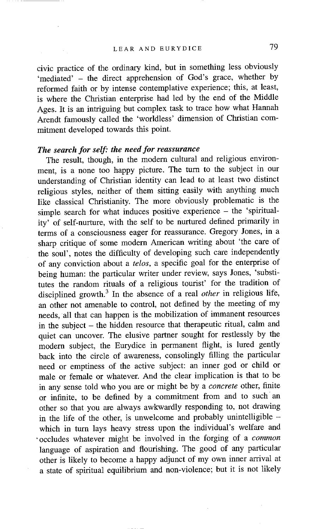civic practice of the ordinary kind, but in something less obviously 'mediated' - the direct apprehension of God's grace, whether by reformed faith or by intense contemplative experience; this, at least, is where the Christian enterprise had led by the end of the Middle Ages. It is an intriguing but complex task to trace how what Hannah Arendt famously called the 'worldless' dimension of Christian commitment developed towards this point.

## *The search for self." the need for reassurance*

The result, though, in the modern cultural and religious environment, is a none too happy picture. The turn to the subject in our understanding of Christian identity can lead to at least two distinct religious styles, neither of them sitting easily with anything much like classical Christianity. The more obviously problematic is the simple search for what induces positive experience  $-$  the 'spirituality' of self-nurture, with the self to be nurtured defined primarily in terms of a consciousness eager for reassurance. Gregory Jones, in a sharp critique of some modern American writing about 'the care of the soul', notes the difficulty of developing such care independently of any conviction about a *telos,* a specific goal for the enterprise of being human: the particular writer under review, says Jones, 'substitutes the random rituals of a religious tourist' for the tradition of disciplined growth) In the absence of a real *other* in religious life, an other not amenable to control, not defined by the meeting of my needs, all that can happen is the mobilization of immanent resources in the subject  $-$  the hidden resource that therapeutic ritual, calm and quiet can uncover. The elusive partner sought for restlessly by the modern subject, the Eurydice in permanent flight, is lured gently back into the circle of awareness, consolingly filling the particular need or emptiness of the active subject: an inner god or child or male or female or whatever. And the clear implication is that to be in any sense told who you are or might be by a *concrete* other, finite or infinite, to be defined by a commitment from and to such an other so that you are always awkwardly responding to, not drawing in the life of the other, is unwelcome and probably unintelligible  $$ which in turn lays heavy stress upon the individual's welfare and • occludes whatever might be involved in the forging of a *common*  language of aspiration and flourishing. The good of any particular other is likely to become a happy adjunct of my own inner arrival at a state of spiritual equilibrium and non-violence; but it is not likely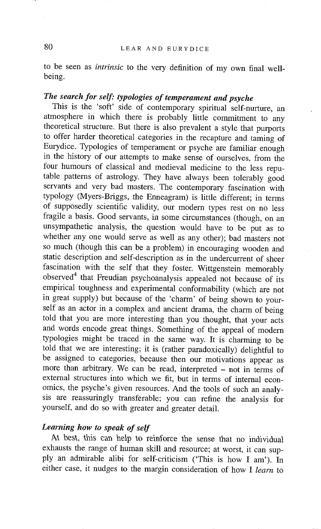to be seen as *intrinsic* to the very definition of my own final wellbeing.

# *The search for self: typologies of temperament and psyche*

This is the 'soft' side of contemporary spiritual self-nurture, an atmosphere in which there is probably little commitment to any theoretical structure. But there is also prevalent a style that purports to offer harder theoretical categories in the recapture and taming of Eurydice. Typologies of temperament or psyche are familiar enough in the history of our attempts to make sense of ourselves, from the four humours of classical and medieval medicine to the less reputable patterns of astrology. They have always been tolerably good servants and very bad masters. The contemporary fascination with typology (Myers-Briggs, the Enneagram) is little different; in terms of supposedly scientific validity, our modern types rest on no less fragile a basis. Good servants, in some circumstances (though, on an unsympathetic analysis, the question would have to be put as to whether any one would serve as well as any other); bad masters not so much (though this can be a problem) in encouraging wooden and static description and self-description as in the undercurrent of sheer fascination with the self that they foster. Wittgenstein memorably observed<sup>4</sup> that Freudian psychoanalysis appealed not because of its empirical toughness and experimental conformability (which are not in great supply) but because of the 'charm' of being shown to yourself as an actor in a complex and ancient drama, the charm of being told that you are more interesting than you thought, that your acts and words encode great things. Something of the appeal of modern typologies might be traced in the same way. It is charming to be told that we are interesting; it is (rather paradoxically) delightful to be assigned to categories, because then our motivations appear as more than arbitrary. We can be read, interpreted - not in terms of external structures into which we fit, but in terms of internal economics, the psyche's given resources. And the tools of such an analysis are reassuringly transferable; you can refine the analysis for yourself, and do so with greater and greater detail.

### *Learning how to speak of self*

At best, this can help to reinforce the sense that no individual exhausts the range of human skill and resource; at worst, it can supply an admirable alibi for self-criticism ('This is how I am'). In either case, it nudges to the margin consideration of how I *learn* to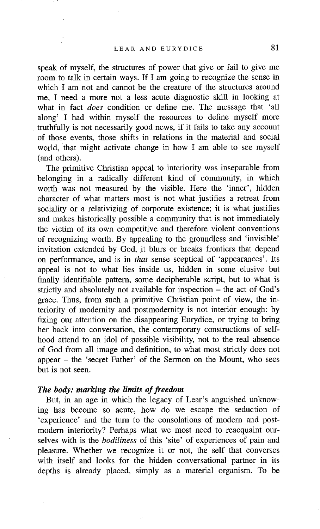speak of myself, the structures of power that give or fail to give me room to talk in certain ways. If I am going to recognize the sense in which I am not and cannot be the creature of the structures around me, I need a more not a less acute diagnostic skill in looking at what in fact *does* condition or define me. The message that 'all along' I had within myself the resources to define myself more truthfully is not necessarily good news, if it fails to take any account of those events, those shifts in relations in the material and social world, that might activate change in how I am able to see myself (and others).

The primitive Christian appeal to interiority was inseparable from belonging in a radically different kind of community, in which worth was not measured by the visible. Here the 'inner', hidden character of what matters most is not what justifies a retreat from sociality or a relativizing of corporate existence; it is what justifies and makes historically possible a community that is not immediately the victim of its own competitive and therefore violent conventions of recognizing worth. By appealing to the groundless and 'invisible' invitation extended by God, it blurs or breaks frontiers that depend on performance, and is in *that* sense sceptical of 'appearances'. Its appeal is not to what lies inside us, hidden in some elusive but finally identifiable pattern, some decipherable script, but to what is strictly and absolutely not available for inspection – the act of God's grace. Thus, from such a primitive Christian point of view, the interiority of modernity and postmoderuity is not interior enough: by fixing our attention on the disappearing Eurydice, or trying to bring her back into conversation, the contemporary constructions of selfhood attend to an idol of possible visibility, not to the real absence of God from all image and definition, to what most strictly does not appear - the 'secret Father' of the Sermon on the Mount, who sees but is not seen.

#### *The body: marking the limits of freedom*

But, in an age in which the legacy of Lear's anguished unknowing has become so acute, how do we escape the seduction of 'experience' and the turn to the consolations of modern and postmodern interiority? Perhaps what we most need to reacquaint ourselves with is the *bodiliness* of this 'site' of experiences of pain and pleasure. Whether we recognize it or not, the self that converses with itself and looks for the hidden conversational partner in its depths is already placed, simply as a material organism. To be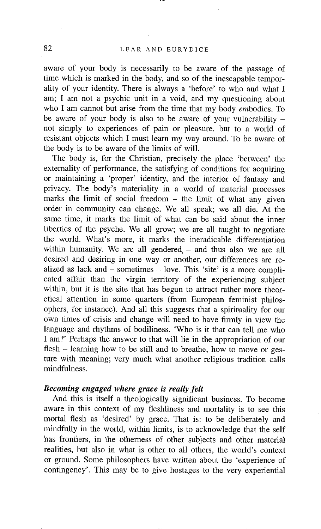### 82 LEAR AND EURYDICE

aware of your body is necessarily to be aware of the passage of time which is marked in the body, and so of the inescapable temporality of your identity. There is always a 'before' to who and what I am; I am not a psychic unit in a void, and my questioning about who I am cannot but arise from the time that my body embodies. To be aware of your body is also to be aware of your vulnerability  $$ not simply to experiences of pain or pleasure, but to a world of resistant objects which I must learn my way around. To be aware of the body is to be aware of the limits of will.

The body is, for the Christian, precisely the place 'between' the externality of performance, the satisfying of conditions for acquiring or maintaining a 'proper' identity, and the interior of fantasy and privacy. The body's materiality in a world of material processes marks the limit of social freedom  $-$  the limit of what any given order in community can change. We all speak; we all die. At the same time, it marks the limit of what can be said about the inner liberties of the psyche. We all grow; we are all taught to negotiate the world. What's more, it marks the ineradicable differentiation within humanity. We are all gendered  $-$  and thus also we are all desired and desiring in one way or another, our differences are realized as lack and - sometimes - love. This 'site' is a more complicated affair than the virgin territory of the experiencing subject within, but it is the site that has begun to attract rather more theoretical attention in some quarters (from European feminist philosophers, for instance). And all this suggests that a spirituality for our own times of crisis and change will need to have firmly in view the language and rhythms of bodiliness. 'Who is it that can tell me who I am?' Perhaps the answer to that will lie in the appropriation of our flesh – learning how to be still and to breathe, how to move or gesture with meaning; very much what another religious tradition calls mindfulness.

#### *Becoming engaged where grace is really felt*

And this is itself a theologically significant business. To become aware in this context of my fleshliness and mortality is to see this mortal flesh as 'desired' by grace. That is: to be deliberately and mindfully in the world, within limits, is to acknowledge that the self has frontiers, in the otherness of other subjects and other material realities, but also in what is other to all others, the world's context or ground. Some philosophers have written about the 'experience of contingency'. This may be to give hostages to the very experiential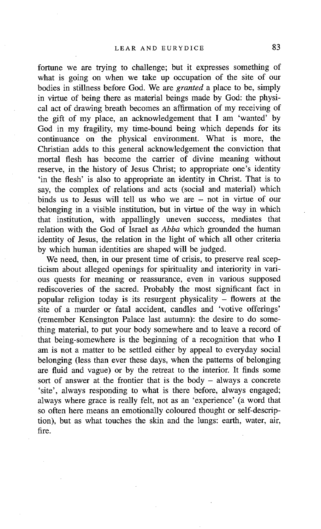fortune we are trying to challenge; but it expresses something of what is going on when we take up occupation of the site of our bodies in stillness before God. We are *granted* a place to be, simply in virtue of being there as material beings made by God: the physical act of drawing breath becomes an affirmation of my receiving of the gift of my place, an acknowledgement that I am 'wanted' by God in my fragility, my time-bound being which depends for its continuance on the physical environment. What is more, the Christian adds to this general acknowledgement the conviction that mortal flesh has become the carrier of divine meaning without reserve, in the history of Jesus Christ; to appropriate one's identity 'in the flesh' is also to appropriate an identity in Christ. That is to say, the complex of relations and acts (social and material) which binds us to Jesus will tell us who we are - not in virtue of our belonging in a visible institution, but in virtue of the way in which that institution, with appallingly uneven success, mediates that relation with the God of Israel as *Abba* which grounded the human identity of Jesus, the relation in the light of which all other criteria by which human identities are shaped will be judged.

We need, then, in our present time of crisis, to preserve real scepticism about alleged openings for spirituality and interiority in various quests for meaning or reassurance, even in various supposed rediscoveries of the sacred. Probably the most significant fact in popular religion today is its resurgent physicality  $-$  flowers at the site of a murder or fatal accident, candles and 'votive offerings' (remember Kensington Palace last autumn): the desire to do something material, to put your body somewhere and to leave a record of that being-somewhere is the beginning of a recognition that who I am is not a matter to be settled either by appeal to everyday social belonging (less than ever these days, when the patterns of belonging are fluid and vague) or by the retreat to the interior. It finds some sort of answer at the frontier that is the body  $-$  always a concrete 'site', always responding to what is there before, always engaged; always where grace is really felt, not as an 'experience' (a word that so often here means an emotionally coloured thought or self-description), but as what touches the skin and the lungs: earth, water, air, fire.